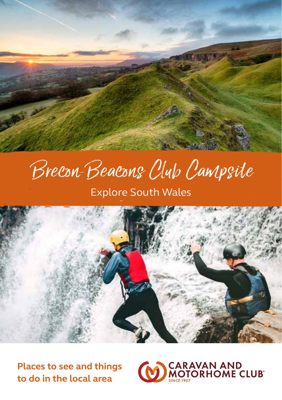

# Brecon Beacons Club Campsite

Explore South Wales



**Places to see and things to do in the local area**

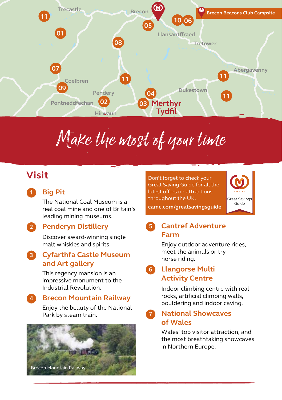

# Make the most of your time

# **Visit**

#### **Big Pit 1**

The National Coal Museum is a real coal mine and one of Britain's leading mining museums.

### **Penderyn Distillery 2**

Discover award-winning single malt whiskies and spirits.

### **Cyfarthfa Castle Museum 3 and Art gallery**

This regency mansion is an impressive monument to the Industrial Revolution.

#### **Brecon Mountain Railway 4**

Enjoy the beauty of the National Park by steam train.



Don't forget to check your Great Saving Guide for all the latest offers on attractions latest offers on attractions throughout the UK. throughout the UK. Don't forget to check your<br>Great Saving Guide for all the<br>Latest offers on attractions<br>throughout the UK.<br>Guide Great Saving Guide for all the



**camc.com/greatsavingsguide camc.com/greatsavingsguide**

#### **Cantref Adventure Farm 5**

Enjoy outdoor adventure rides, meet the animals or try horse riding.

#### **Llangorse Multi Activity Centre 6**

Indoor climbing centre with real rocks, artificial climbing walls, bouldering and indoor caving.

**National Showcaves of Wales 7**

> Wales' top visitor attraction, and the most breathtaking showcaves in Northern Europe.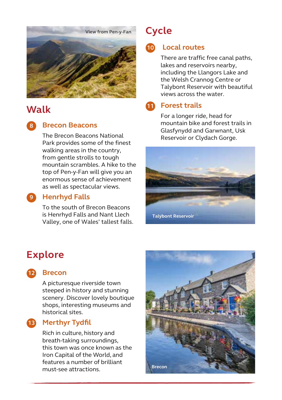

# **Walk**

**8**

#### **Brecon Beacons**

The Brecon Beacons National Park provides some of the finest walking areas in the country, from gentle strolls to tough mountain scrambles. A hike to the top of Pen-y-Fan will give you an enormous sense of achievement as well as spectacular views.

#### **Henrhyd Falls 9**

To the south of Brecon Beacons is Henrhyd Falls and Nant Llech Valley, one of Wales' tallest falls.

# **Cycle**

### **Local routes 10**

There are traffic free canal paths, lakes and reservoirs nearby, including the Llangors Lake and the Welsh Crannog Centre or Talybont Reservoir with beautiful views across the water.

#### **Forest trails 11**

For a longer ride, head for mountain bike and forest trails in Glasfynydd and Garwnant, Usk Reservoir or Clydach Gorge.



## **Explore**

#### **Brecon 12**

A picturesque riverside town steeped in history and stunning scenery. Discover lovely boutique shops, interesting museums and historical sites.

#### **Merthyr Tydfil 13**

Rich in culture, history and breath-taking surroundings, this town was once known as the Iron Capital of the World, and features a number of brilliant must-see attractions. **Brecon**